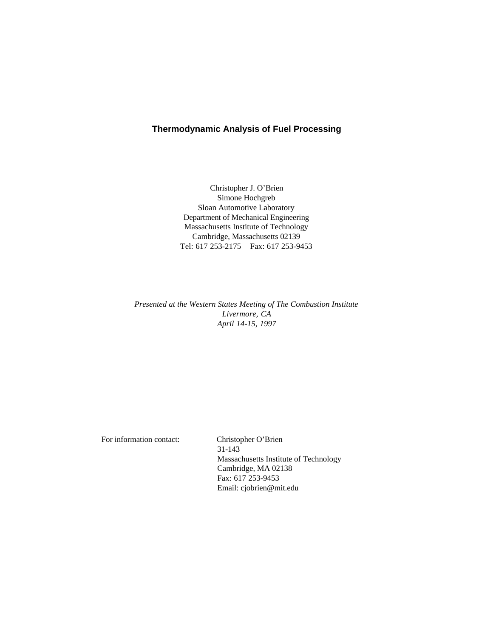# **Thermodynamic Analysis of Fuel Processing**

Christopher J. O'Brien Simone Hochgreb Sloan Automotive Laboratory Department of Mechanical Engineering Massachusetts Institute of Technology Cambridge, Massachusetts 02139 Tel: 617 253-2175 Fax: 617 253-9453

*Presented at the Western States Meeting of The Combustion Institute Livermore, CA April 14-15, 1997*

For information contact: Christopher O'Brien 31-143 Massachusetts Institute of Technology Cambridge, MA 02138 Fax: 617 253-9453 Email: cjobrien@mit.edu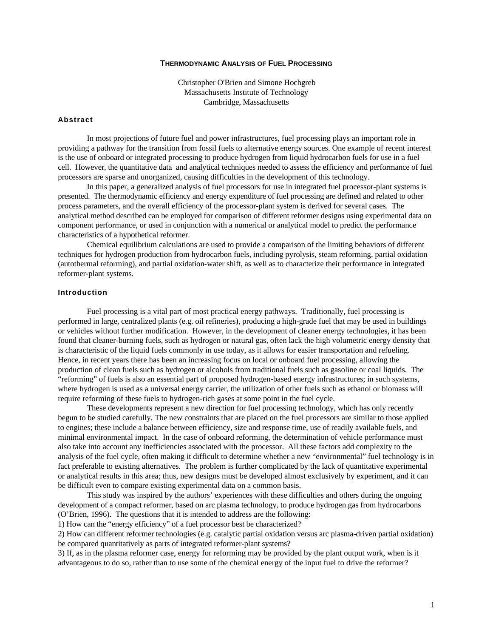## **THERMODYNAMIC ANALYSIS OF FUEL PROCESSING**

Christopher O'Brien and Simone Hochgreb Massachusetts Institute of Technology Cambridge, Massachusetts

# **Abstract**

In most projections of future fuel and power infrastructures, fuel processing plays an important role in providing a pathway for the transition from fossil fuels to alternative energy sources. One example of recent interest is the use of onboard or integrated processing to produce hydrogen from liquid hydrocarbon fuels for use in a fuel cell. However, the quantitative data and analytical techniques needed to assess the efficiency and performance of fuel processors are sparse and unorganized, causing difficulties in the development of this technology.

In this paper, a generalized analysis of fuel processors for use in integrated fuel processor-plant systems is presented. The thermodynamic efficiency and energy expenditure of fuel processing are defined and related to other process parameters, and the overall efficiency of the processor-plant system is derived for several cases. The analytical method described can be employed for comparison of different reformer designs using experimental data on component performance, or used in conjunction with a numerical or analytical model to predict the performance characteristics of a hypothetical reformer.

Chemical equilibrium calculations are used to provide a comparison of the limiting behaviors of different techniques for hydrogen production from hydrocarbon fuels, including pyrolysis, steam reforming, partial oxidation (autothermal reforming), and partial oxidation-water shift, as well as to characterize their performance in integrated reformer-plant systems.

# **Introduction**

Fuel processing is a vital part of most practical energy pathways. Traditionally, fuel processing is performed in large, centralized plants (e.g. oil refineries), producing a high-grade fuel that may be used in buildings or vehicles without further modification. However, in the development of cleaner energy technologies, it has been found that cleaner-burning fuels, such as hydrogen or natural gas, often lack the high volumetric energy density that is characteristic of the liquid fuels commonly in use today, as it allows for easier transportation and refueling. Hence, in recent years there has been an increasing focus on local or onboard fuel processing, allowing the production of clean fuels such as hydrogen or alcohols from traditional fuels such as gasoline or coal liquids. The "reforming" of fuels is also an essential part of proposed hydrogen-based energy infrastructures; in such systems, where hydrogen is used as a universal energy carrier, the utilization of other fuels such as ethanol or biomass will require reforming of these fuels to hydrogen-rich gases at some point in the fuel cycle.

These developments represent a new direction for fuel processing technology, which has only recently begun to be studied carefully. The new constraints that are placed on the fuel processors are similar to those applied to engines; these include a balance between efficiency, size and response time, use of readily available fuels, and minimal environmental impact. In the case of onboard reforming, the determination of vehicle performance must also take into account any inefficiencies associated with the processor. All these factors add complexity to the analysis of the fuel cycle, often making it difficult to determine whether a new "environmental" fuel technology is in fact preferable to existing alternatives. The problem is further complicated by the lack of quantitative experimental or analytical results in this area; thus, new designs must be developed almost exclusively by experiment, and it can be difficult even to compare existing experimental data on a common basis.

This study was inspired by the authors' experiences with these difficulties and others during the ongoing development of a compact reformer, based on arc plasma technology, to produce hydrogen gas from hydrocarbons (O'Brien, 1996). The questions that it is intended to address are the following:

1) How can the "energy efficiency" of a fuel processor best be characterized?

2) How can different reformer technologies (e.g. catalytic partial oxidation versus arc plasma-driven partial oxidation) be compared quantitatively as parts of integrated reformer-plant systems?

3) If, as in the plasma reformer case, energy for reforming may be provided by the plant output work, when is it advantageous to do so, rather than to use some of the chemical energy of the input fuel to drive the reformer?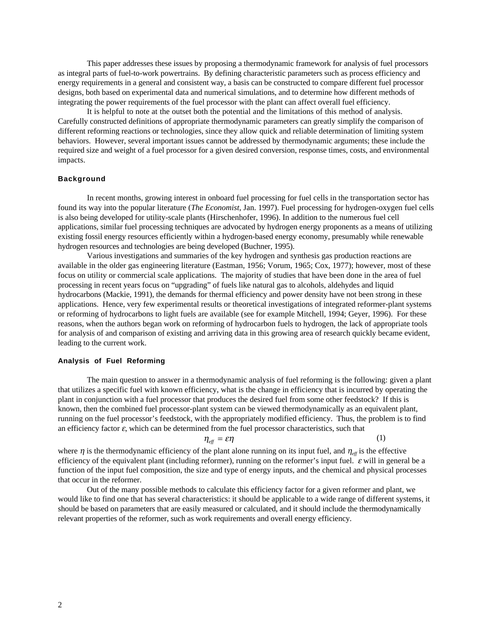This paper addresses these issues by proposing a thermodynamic framework for analysis of fuel processors as integral parts of fuel-to-work powertrains. By defining characteristic parameters such as process efficiency and energy requirements in a general and consistent way, a basis can be constructed to compare different fuel processor designs, both based on experimental data and numerical simulations, and to determine how different methods of integrating the power requirements of the fuel processor with the plant can affect overall fuel efficiency.

It is helpful to note at the outset both the potential and the limitations of this method of analysis. Carefully constructed definitions of appropriate thermodynamic parameters can greatly simplify the comparison of different reforming reactions or technologies, since they allow quick and reliable determination of limiting system behaviors. However, several important issues cannot be addressed by thermodynamic arguments; these include the required size and weight of a fuel processor for a given desired conversion, response times, costs, and environmental impacts.

## **Background**

In recent months, growing interest in onboard fuel processing for fuel cells in the transportation sector has found its way into the popular literature (*The Economist*, Jan. 1997). Fuel processing for hydrogen-oxygen fuel cells is also being developed for utility-scale plants (Hirschenhofer, 1996). In addition to the numerous fuel cell applications, similar fuel processing techniques are advocated by hydrogen energy proponents as a means of utilizing existing fossil energy resources efficiently within a hydrogen-based energy economy, presumably while renewable hydrogen resources and technologies are being developed (Buchner, 1995).

Various investigations and summaries of the key hydrogen and synthesis gas production reactions are available in the older gas engineering literature (Eastman, 1956; Vorum, 1965; Cox, 1977); however, most of these focus on utility or commercial scale applications. The majority of studies that have been done in the area of fuel processing in recent years focus on "upgrading" of fuels like natural gas to alcohols, aldehydes and liquid hydrocarbons (Mackie, 1991), the demands for thermal efficiency and power density have not been strong in these applications. Hence, very few experimental results or theoretical investigations of integrated reformer-plant systems or reforming of hydrocarbons to light fuels are available (see for example Mitchell, 1994; Geyer, 1996). For these reasons, when the authors began work on reforming of hydrocarbon fuels to hydrogen, the lack of appropriate tools for analysis of and comparison of existing and arriving data in this growing area of research quickly became evident, leading to the current work.

### **Analysis of Fuel Reforming**

The main question to answer in a thermodynamic analysis of fuel reforming is the following: given a plant that utilizes a specific fuel with known efficiency, what is the change in efficiency that is incurred by operating the plant in conjunction with a fuel processor that produces the desired fuel from some other feedstock? If this is known, then the combined fuel processor-plant system can be viewed thermodynamically as an equivalent plant, running on the fuel processor's feedstock, with the appropriately modified efficiency. Thus, the problem is to find an efficiency factor  $\varepsilon$ , which can be determined from the fuel processor characteristics, such that

$$
\eta_{\text{eff}} = \varepsilon \eta \tag{1}
$$

where  $\eta$  is the thermodynamic efficiency of the plant alone running on its input fuel, and  $\eta_{\text{eff}}$  is the effective efficiency of the equivalent plant (including reformer), running on the reformer's input fuel.  $\varepsilon$  will in general be a function of the input fuel composition, the size and type of energy inputs, and the chemical and physical processes that occur in the reformer.

Out of the many possible methods to calculate this efficiency factor for a given reformer and plant, we would like to find one that has several characteristics: it should be applicable to a wide range of different systems, it should be based on parameters that are easily measured or calculated, and it should include the thermodynamically relevant properties of the reformer, such as work requirements and overall energy efficiency.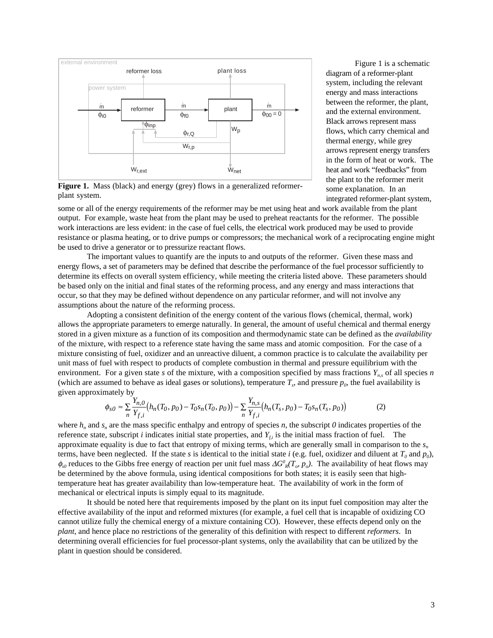

Figure 1. Mass (black) and energy (grey) flows in a generalized reformerplant system.

Figure 1 is a schematic diagram of a reformer-plant system, including the relevant energy and mass interactions between the reformer, the plant, and the external environment. Black arrows represent mass flows, which carry chemical and thermal energy, while grey arrows represent energy transfers in the form of heat or work. The heat and work "feedbacks" from the plant to the reformer merit some explanation. In an integrated reformer-plant system,

some or all of the energy requirements of the reformer may be met using heat and work available from the plant output. For example, waste heat from the plant may be used to preheat reactants for the reformer. The possible work interactions are less evident: in the case of fuel cells, the electrical work produced may be used to provide resistance or plasma heating, or to drive pumps or compressors; the mechanical work of a reciprocating engine might be used to drive a generator or to pressurize reactant flows.

The important values to quantify are the inputs to and outputs of the reformer. Given these mass and energy flows, a set of parameters may be defined that describe the performance of the fuel processor sufficiently to determine its effects on overall system efficiency, while meeting the criteria listed above. These parameters should be based only on the initial and final states of the reforming process, and any energy and mass interactions that occur, so that they may be defined without dependence on any particular reformer, and will not involve any assumptions about the nature of the reforming process.

Adopting a consistent definition of the energy content of the various flows (chemical, thermal, work) allows the appropriate parameters to emerge naturally. In general, the amount of useful chemical and thermal energy stored in a given mixture as a function of its composition and thermodynamic state can be defined as the *availability* of the mixture, with respect to a reference state having the same mass and atomic composition. For the case of a mixture consisting of fuel, oxidizer and an unreactive diluent, a common practice is to calculate the availability per unit mass of fuel with respect to products of complete combustion in thermal and pressure equilibrium with the environment. For a given state *s* of the mixture, with a composition specified by mass fractions  $Y_n$ , of all species *n* (which are assumed to behave as ideal gases or solutions), temperature  $T_s$ , and pressure  $p_0$ , the fuel availability is given approximately by

$$
\phi_{s0} \approx \sum_{n} \frac{Y_{n,0}}{Y_{f,i}} \left( h_n(T_0, p_0) - T_0 s_n(T_0, p_0) \right) - \sum_{n} \frac{Y_{n,s}}{Y_{f,i}} \left( h_n(T_s, p_0) - T_0 s_n(T_s, p_0) \right) \tag{2}
$$

where  $h_n$  and  $s_n$  are the mass specific enthalpy and entropy of species *n*, the subscript *0* indicates properties of the reference state, subscript *i* indicates initial state properties, and  $Y_{ti}$  is the initial mass fraction of fuel. The approximate equality is due to fact that entropy of mixing terms, which are generally small in comparison to the *sn* terms, have been neglected. If the state *s* is identical to the initial state *i* (e.g. fuel, oxidizer and diluent at  $T_0$  and  $p_0$ ),  $φ_{00}$  reduces to the Gibbs free energy of reaction per unit fuel mass  $\Delta G^0$ <sub>R</sub>(T<sub>o</sub>, p<sub>o</sub>). The availability of heat flows may be determined by the above formula, using identical compositions for both states; it is easily seen that hightemperature heat has greater availability than low-temperature heat. The availability of work in the form of mechanical or electrical inputs is simply equal to its magnitude.

It should be noted here that requirements imposed by the plant on its input fuel composition may alter the effective availability of the input and reformed mixtures (for example, a fuel cell that is incapable of oxidizing CO cannot utilize fully the chemical energy of a mixture containing CO). However, these effects depend only on the *plant*, and hence place no restrictions of the generality of this definition with respect to different *reformers*. In determining overall efficiencies for fuel processor-plant systems, only the availability that can be utilized by the plant in question should be considered.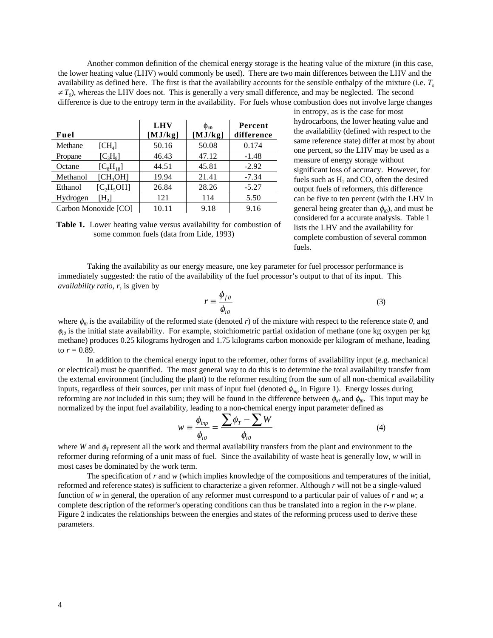Another common definition of the chemical energy storage is the heating value of the mixture (in this case, the lower heating value (LHV) would commonly be used). There are two main differences between the LHV and the availability as defined here. The first is that the availability accounts for the sensible enthalpy of the mixture (i.e. *Ts*  $\neq T_0$ ), whereas the LHV does not. This is generally a very small difference, and may be neglected. The second difference is due to the entropy term in the availability. For fuels whose combustion does not involve large changes

| Fuel                 |                             | <b>LHV</b><br>[MJ/kg] | $\Phi_{i0}$<br>[MJ/kg] | Percent<br>difference |
|----------------------|-----------------------------|-----------------------|------------------------|-----------------------|
| Methane              | $\left[{\rm CH}_{4}\right]$ | 50.16                 | 50.08                  | 0.174                 |
| Propane              | $[C_3H_8]$                  | 46.43                 | 47.12                  | $-1.48$               |
| Octane               | $[C_8H_{18}]$               | 44.51                 | 45.81                  | $-2.92$               |
| Methanol             | $[CH_3OH]$                  | 19.94                 | 21.41                  | $-7.34$               |
| Ethanol              | [C, H, OH]                  | 26.84                 | 28.26                  | $-5.27$               |
| Hydrogen             | [H <sub>2</sub> ]           | 121                   | 114                    | 5.50                  |
| Carbon Monoxide [CO] |                             | 10.11                 | 9.18                   | 9.16                  |

in entropy, as is the case for most hydrocarbons, the lower heating value and the availability (defined with respect to the same reference state) differ at most by about one percent, so the LHV may be used as a measure of energy storage without significant loss of accuracy. However, for fuels such as  $H<sub>2</sub>$  and CO, often the desired output fuels of reformers, this difference can be five to ten percent (with the LHV in general being greater than  $\phi_{i0}$ ), and must be considered for a accurate analysis. Table 1 lists the LHV and the availability for complete combustion of several common fuels.

**Table 1.** Lower heating value versus availability for combustion of some common fuels (data from Lide, 1993)

Taking the availability as our energy measure, one key parameter for fuel processor performance is immediately suggested: the ratio of the availability of the fuel processor's output to that of its input. This *availability ratio*, *r*, is given by

$$
r \equiv \frac{\phi_{f0}}{\phi_{io}}\tag{3}
$$

where  $\phi_p$  is the availability of the reformed state (denoted *r*) of the mixture with respect to the reference state *0*, and  $\phi_{i0}$  is the initial state availability. For example, stoichiometric partial oxidation of methane (one kg oxygen per kg) methane) produces 0.25 kilograms hydrogen and 1.75 kilograms carbon monoxide per kilogram of methane, leading to  $r = 0.89$ .

In addition to the chemical energy input to the reformer, other forms of availability input (e.g. mechanical or electrical) must be quantified. The most general way to do this is to determine the total availability transfer from the external environment (including the plant) to the reformer resulting from the sum of all non-chemical availability inputs, regardless of their sources, per unit mass of input fuel (denoted φ*inp* in Figure 1). Energy losses during reforming are *not* included in this sum; they will be found in the difference between  $\phi_{i0}$  and  $\phi_{i0}$ . This input may be normalized by the input fuel availability, leading to a non-chemical energy input parameter defined as

$$
w \equiv \frac{\phi_{inp}}{\phi_{io}} = \frac{\sum \phi_r - \sum W}{\phi_{io}}
$$
(4)

where *W* and  $\phi$ <sup>r</sup> represent all the work and thermal availability transfers from the plant and environment to the reformer during reforming of a unit mass of fuel. Since the availability of waste heat is generally low, *w* will in most cases be dominated by the work term.

The specification of *r* and *w* (which implies knowledge of the compositions and temperatures of the initial, reformed and reference states) is sufficient to characterize a given reformer. Although *r* will not be a single-valued function of *w* in general, the operation of any reformer must correspond to a particular pair of values of *r* and *w*; a complete description of the reformer's operating conditions can thus be translated into a region in the *r*-*w* plane. Figure 2 indicates the relationships between the energies and states of the reforming process used to derive these parameters.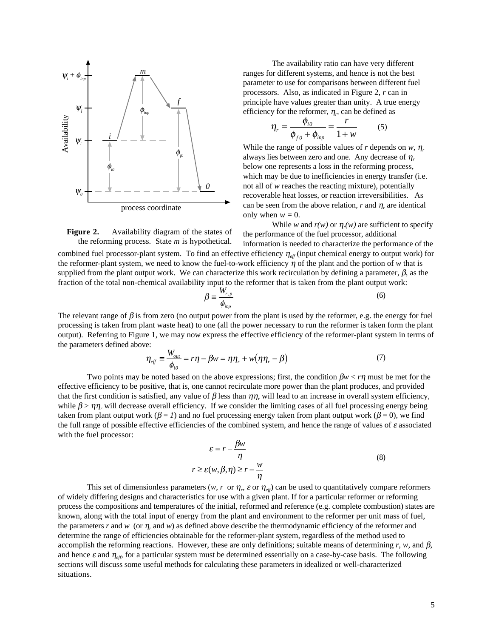

The availability ratio can have very different ranges for different systems, and hence is not the best parameter to use for comparisons between different fuel processors. Also, as indicated in Figure 2, *r* can in principle have values greater than unity. A true energy efficiency for the reformer,  $\eta_r$ , can be defined as

$$
\eta_r = \frac{\phi_{io}}{\phi_{fo} + \phi_{inp}} = \frac{r}{1 + w} \tag{5}
$$

While the range of possible values of *r* depends on  $w$ ,  $\eta_r$ always lies between zero and one. Any decrease of  $\eta_r$ below one represents a loss in the reforming process, which may be due to inefficiencies in energy transfer (i.e. not all of *w* reaches the reacting mixture), potentially recoverable heat losses, or reaction irreversibilities. As can be seen from the above relation,  $r$  and  $\eta_r$  are identical only when  $w = 0$ .

While *w* and  $r(w)$  or  $\eta_r(w)$  are sufficient to specify the performance of the fuel processor, additional

**Figure 2.** Availability diagram of the states of the reforming process. State *m* is hypothetical.

information is needed to characterize the performance of the combined fuel processor-plant system. To find an effective efficiency η*eff* (input chemical energy to output work) for the reformer-plant system, we need to know the fuel-to-work efficiency  $\eta$  of the plant and the portion of *w* that is supplied from the plant output work. We can characterize this work recirculation by defining a parameter,  $\beta$ , as the fraction of the total non-chemical availability input to the reformer that is taken from the plant output work:

$$
\beta = \frac{W_{r,p}}{\phi_{inp}}\tag{6}
$$

The relevant range of  $\beta$  is from zero (no output power from the plant is used by the reformer, e.g. the energy for fuel processing is taken from plant waste heat) to one (all the power necessary to run the reformer is taken form the plant output). Referring to Figure 1, we may now express the effective efficiency of the reformer-plant system in terms of the parameters defined above:

$$
\eta_{\text{eff}} = \frac{W_{\text{out}}}{\phi_{\text{io}}} = r\eta - \beta w = \eta \eta_r + w(\eta \eta_r - \beta) \tag{7}
$$

Two points may be noted based on the above expressions; first, the condition  $\beta w < r\eta$  must be met for the effective efficiency to be positive, that is, one cannot recirculate more power than the plant produces, and provided that the first condition is satisfied, any value of  $\beta$  less than  $\eta\eta$ , will lead to an increase in overall system efficiency, while  $\beta > \eta \eta$ , will decrease overall efficiency. If we consider the limiting cases of all fuel processing energy being taken from plant output work ( $\beta = 1$ ) and no fuel processing energy taken from plant output work ( $\beta = 0$ ), we find the full range of possible effective efficiencies of the combined system, and hence the range of values of  $\varepsilon$  associated with the fuel processor:

$$
\varepsilon = r - \frac{\beta w}{\eta}
$$
  
\n
$$
r \ge \varepsilon(w, \beta, \eta) \ge r - \frac{w}{\eta}
$$
 (8)

This set of dimensionless parameters (*w*, *r* or  $\eta_r$ ,  $\varepsilon$  or  $\eta_{\text{eff}}$ ) can be used to quantitatively compare reformers of widely differing designs and characteristics for use with a given plant. If for a particular reformer or reforming process the compositions and temperatures of the initial, reformed and reference (e.g. complete combustion) states are known, along with the total input of energy from the plant and environment to the reformer per unit mass of fuel, the parameters *r* and *w* (or  $\eta$ , and *w*) as defined above describe the thermodynamic efficiency of the reformer and determine the range of efficiencies obtainable for the reformer-plant system, regardless of the method used to accomplish the reforming reactions. However, these are only definitions; suitable means of determining *r*, *w*, and β, and hence  $\varepsilon$  and  $\eta_{\text{eff}}$ , for a particular system must be determined essentially on a case-by-case basis. The following sections will discuss some useful methods for calculating these parameters in idealized or well-characterized situations.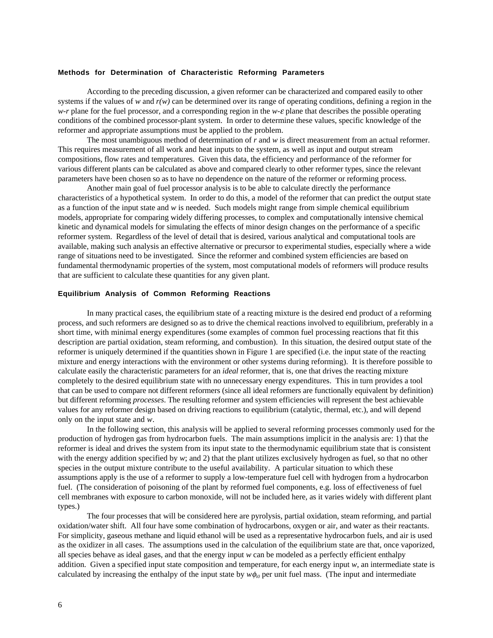#### **Methods for Determination of Characteristic Reforming Parameters**

According to the preceding discussion, a given reformer can be characterized and compared easily to other systems if the values of *w* and  $r(w)$  can be determined over its range of operating conditions, defining a region in the *w-r* plane for the fuel processor, and a corresponding region in the *w-*ε plane that describes the possible operating conditions of the combined processor-plant system. In order to determine these values, specific knowledge of the reformer and appropriate assumptions must be applied to the problem.

The most unambiguous method of determination of *r* and *w* is direct measurement from an actual reformer. This requires measurement of all work and heat inputs to the system, as well as input and output stream compositions, flow rates and temperatures. Given this data, the efficiency and performance of the reformer for various different plants can be calculated as above and compared clearly to other reformer types, since the relevant parameters have been chosen so as to have no dependence on the nature of the reformer or reforming process.

Another main goal of fuel processor analysis is to be able to calculate directly the performance characteristics of a hypothetical system. In order to do this, a model of the reformer that can predict the output state as a function of the input state and *w* is needed. Such models might range from simple chemical equilibrium models, appropriate for comparing widely differing processes, to complex and computationally intensive chemical kinetic and dynamical models for simulating the effects of minor design changes on the performance of a specific reformer system. Regardless of the level of detail that is desired, various analytical and computational tools are available, making such analysis an effective alternative or precursor to experimental studies, especially where a wide range of situations need to be investigated. Since the reformer and combined system efficiencies are based on fundamental thermodynamic properties of the system, most computational models of reformers will produce results that are sufficient to calculate these quantities for any given plant.

#### **Equilibrium Analysis of Common Reforming Reactions**

In many practical cases, the equilibrium state of a reacting mixture is the desired end product of a reforming process, and such reformers are designed so as to drive the chemical reactions involved to equilibrium, preferably in a short time, with minimal energy expenditures (some examples of common fuel processing reactions that fit this description are partial oxidation, steam reforming, and combustion). In this situation, the desired output state of the reformer is uniquely determined if the quantities shown in Figure 1 are specified (i.e. the input state of the reacting mixture and energy interactions with the environment or other systems during reforming). It is therefore possible to calculate easily the characteristic parameters for an *ideal* reformer, that is, one that drives the reacting mixture completely to the desired equilibrium state with no unnecessary energy expenditures. This in turn provides a tool that can be used to compare not different reformers (since all ideal reformers are functionally equivalent by definition) but different reforming *processes*. The resulting reformer and system efficiencies will represent the best achievable values for any reformer design based on driving reactions to equilibrium (catalytic, thermal, etc.), and will depend only on the input state and *w*.

In the following section, this analysis will be applied to several reforming processes commonly used for the production of hydrogen gas from hydrocarbon fuels. The main assumptions implicit in the analysis are: 1) that the reformer is ideal and drives the system from its input state to the thermodynamic equilibrium state that is consistent with the energy addition specified by *w*; and 2) that the plant utilizes exclusively hydrogen as fuel, so that no other species in the output mixture contribute to the useful availability. A particular situation to which these assumptions apply is the use of a reformer to supply a low-temperature fuel cell with hydrogen from a hydrocarbon fuel. (The consideration of poisoning of the plant by reformed fuel components, e.g. loss of effectiveness of fuel cell membranes with exposure to carbon monoxide, will not be included here, as it varies widely with different plant types.)

The four processes that will be considered here are pyrolysis, partial oxidation, steam reforming, and partial oxidation/water shift. All four have some combination of hydrocarbons, oxygen or air, and water as their reactants. For simplicity, gaseous methane and liquid ethanol will be used as a representative hydrocarbon fuels, and air is used as the oxidizer in all cases. The assumptions used in the calculation of the equilibrium state are that, once vaporized, all species behave as ideal gases, and that the energy input *w* can be modeled as a perfectly efficient enthalpy addition. Given a specified input state composition and temperature, for each energy input  $w$ , an intermediate state is calculated by increasing the enthalpy of the input state by  $w\phi_{i0}$  per unit fuel mass. (The input and intermediate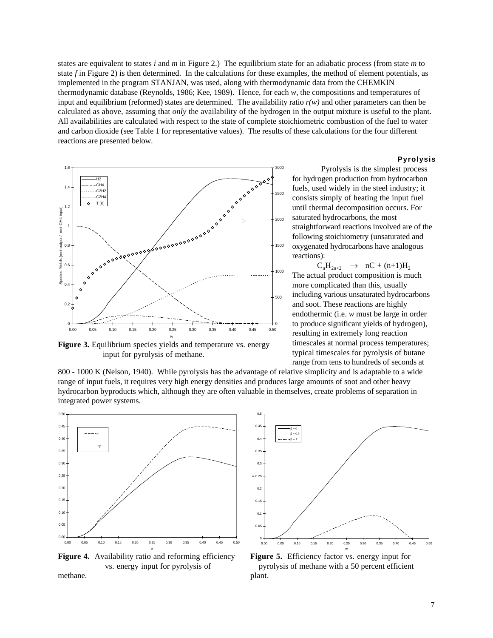states are equivalent to states *i* and *m* in Figure 2.) The equilibrium state for an adiabatic process (from state *m* to state *f* in Figure 2) is then determined. In the calculations for these examples, the method of element potentials, as implemented in the program STANJAN, was used, along with thermodynamic data from the CHEMKIN thermodynamic database (Reynolds, 1986; Kee, 1989). Hence, for each *w*, the compositions and temperatures of input and equilibrium (reformed) states are determined. The availability ratio  $r(w)$  and other parameters can then be calculated as above, assuming that *only* the availability of the hydrogen in the output mixture is useful to the plant. All availabilities are calculated with respect to the state of complete stoichiometric combustion of the fuel to water and carbon dioxide (see Table 1 for representative values). The results of these calculations for the four different reactions are presented below.



**Figure 3.** Equilibrium species yields and temperature vs. energy input for pyrolysis of methane.

#### **Pyrolysis**

Pyrolysis is the simplest process for hydrogen production from hydrocarbon fuels, used widely in the steel industry; it consists simply of heating the input fuel until thermal decomposition occurs. For saturated hydrocarbons, the most straightforward reactions involved are of the following stoichiometry (unsaturated and oxygenated hydrocarbons have analogous reactions):

 $C_nH_{2n+2} \to nC + (n+1)H_2$ The actual product composition is much more complicated than this, usually including various unsaturated hydrocarbons and soot. These reactions are highly endothermic (i.e. *w* must be large in order to produce significant yields of hydrogen), resulting in extremely long reaction timescales at normal process temperatures; typical timescales for pyrolysis of butane range from tens to hundreds of seconds at

800 - 1000 K (Nelson, 1940). While pyrolysis has the advantage of relative simplicity and is adaptable to a wide range of input fuels, it requires very high energy densities and produces large amounts of soot and other heavy hydrocarbon byproducts which, although they are often valuable in themselves, create problems of separation in integrated power systems.



**Figure 4.** Availability ratio and reforming efficiency vs. energy input for pyrolysis of methane.



**Figure 5.** Efficiency factor vs. energy input for pyrolysis of methane with a 50 percent efficient plant.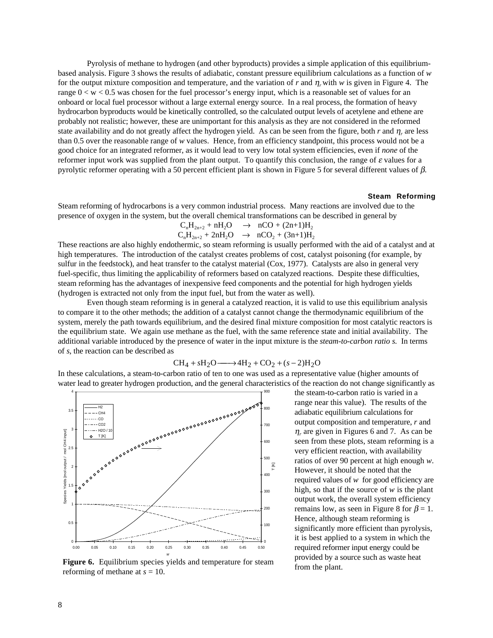Pyrolysis of methane to hydrogen (and other byproducts) provides a simple application of this equilibriumbased analysis. Figure 3 shows the results of adiabatic, constant pressure equilibrium calculations as a function of *w* for the output mixture composition and temperature, and the variation of *r* and η*r* with *w* is given in Figure 4. The range 0 < w < 0.5 was chosen for the fuel processor's energy input, which is a reasonable set of values for an onboard or local fuel processor without a large external energy source. In a real process, the formation of heavy hydrocarbon byproducts would be kinetically controlled, so the calculated output levels of acetylene and ethene are probably not realistic; however, these are unimportant for this analysis as they are not considered in the reformed state availability and do not greatly affect the hydrogen yield. As can be seen from the figure, both *r* and η*<sup>r</sup>* are less than 0.5 over the reasonable range of *w* values. Hence, from an efficiency standpoint, this process would not be a good choice for an integrated reformer, as it would lead to very low total system efficiencies, even if *none* of the reformer input work was supplied from the plant output. To quantify this conclusion, the range of  $\varepsilon$  values for a pyrolytic reformer operating with a 50 percent efficient plant is shown in Figure 5 for several different values of  $\beta$ .

#### **Steam Reforming**

Steam reforming of hydrocarbons is a very common industrial process. Many reactions are involved due to the presence of oxygen in the system, but the overall chemical transformations can be described in general by

$$
\begin{array}{ccc} C_nH_{2n+2}+nH_2O & \to & nCO+(2n+1)H_2 \\ C_nH_{2n+2}+2nH_2O & \to & nCO_2+(3n+1)H_2 \end{array}
$$

These reactions are also highly endothermic, so steam reforming is usually performed with the aid of a catalyst and at high temperatures. The introduction of the catalyst creates problems of cost, catalyst poisoning (for example, by sulfur in the feedstock), and heat transfer to the catalyst material (Cox, 1977). Catalysts are also in general very fuel-specific, thus limiting the applicability of reformers based on catalyzed reactions. Despite these difficulties, steam reforming has the advantages of inexpensive feed components and the potential for high hydrogen yields (hydrogen is extracted not only from the input fuel, but from the water as well).

Even though steam reforming is in general a catalyzed reaction, it is valid to use this equilibrium analysis to compare it to the other methods; the addition of a catalyst cannot change the thermodynamic equilibrium of the system, merely the path towards equilibrium, and the desired final mixture composition for most catalytic reactors is the equilibrium state. We again use methane as the fuel, with the same reference state and initial availability. The additional variable introduced by the presence of water in the input mixture is the *steam-to-carbon ratio s.* In terms of *s*, the reaction can be described as

$$
CH_4 + sH_2O \longrightarrow 4H_2 + CO_2 + (s-2)H_2O
$$

In these calculations, a steam-to-carbon ratio of ten to one was used as a representative value (higher amounts of water lead to greater hydrogen production, and the general characteristics of the reaction do not change significantly as



**Figure 6.** Equilibrium species yields and temperature for steam reforming of methane at *s* = 10.

the steam-to-carbon ratio is varied in a range near this value). The results of the adiabatic equilibrium calculations for output composition and temperature, *r* and  $\eta_r$  are given in Figures 6 and 7. As can be seen from these plots, steam reforming is a very efficient reaction, with availability ratios of over 90 percent at high enough *w*. However, it should be noted that the required values of *w* for good efficiency are high, so that if the source of *w* is the plant output work, the overall system efficiency remains low, as seen in Figure 8 for  $\beta = 1$ . Hence, although steam reforming is significantly more efficient than pyrolysis, it is best applied to a system in which the required reformer input energy could be provided by a source such as waste heat from the plant.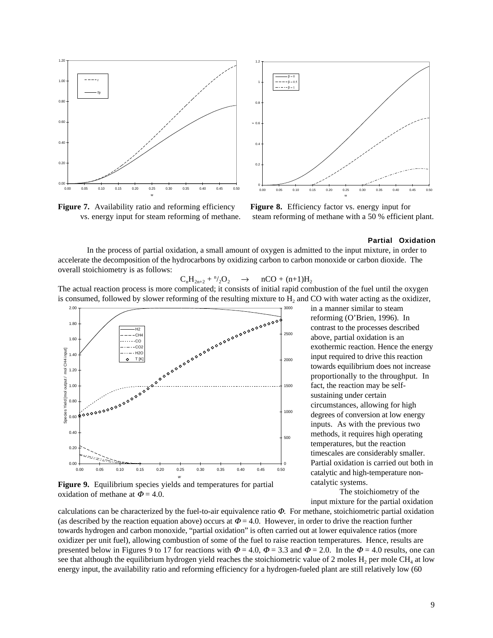

Figure 7. Availability ratio and reforming efficiency vs. energy input for steam reforming of methane.



**Figure 8.** Efficiency factor vs. energy input for steam reforming of methane with a 50 % efficient plant.

### **Partial Oxidation**

In the process of partial oxidation, a small amount of oxygen is admitted to the input mixture, in order to accelerate the decomposition of the hydrocarbons by oxidizing carbon to carbon monoxide or carbon dioxide. The overall stoichiometry is as follows:

$$
C_nH_{2n+2} + \sqrt[n]{2}O_2 \quad \rightarrow \quad nCO + (n+1)H_2
$$

The actual reaction process is more complicated; it consists of initial rapid combustion of the fuel until the oxygen is consumed, followed by slower reforming of the resulting mixture to  $H<sub>2</sub>$  and CO with water acting as the oxidizer,



**Figure 9.** Equilibrium species yields and temperatures for partial oxidation of methane at  $\Phi = 4.0$ .

calculations can be characterized by the fuel-to-air equivalence ratio  $\Phi$ . For methane, stoichiometric partial oxidation (as described by the reaction equation above) occurs at  $\Phi = 4.0$ . However, in order to drive the reaction further towards hydrogen and carbon monoxide, "partial oxidation" is often carried out at lower equivalence ratios (more oxidizer per unit fuel), allowing combustion of some of the fuel to raise reaction temperatures. Hence, results are presented below in Figures 9 to 17 for reactions with  $\Phi = 4.0$ ,  $\Phi = 3.3$  and  $\Phi = 2.0$ . In the  $\Phi = 4.0$  results, one can see that although the equilibrium hydrogen yield reaches the stoichiometric value of 2 moles  $H_2$  per mole CH<sub>4</sub> at low energy input, the availability ratio and reforming efficiency for a hydrogen-fueled plant are still relatively low (60

in a manner similar to steam reforming (O'Brien, 1996). In contrast to the processes described above, partial oxidation is an exothermic reaction. Hence the energy input required to drive this reaction towards equilibrium does not increase proportionally to the throughput. In fact, the reaction may be selfsustaining under certain circumstances, allowing for high degrees of conversion at low energy inputs. As with the previous two methods, it requires high operating temperatures, but the reaction timescales are considerably smaller. Partial oxidation is carried out both in catalytic and high-temperature noncatalytic systems.

The stoichiometry of the input mixture for the partial oxidation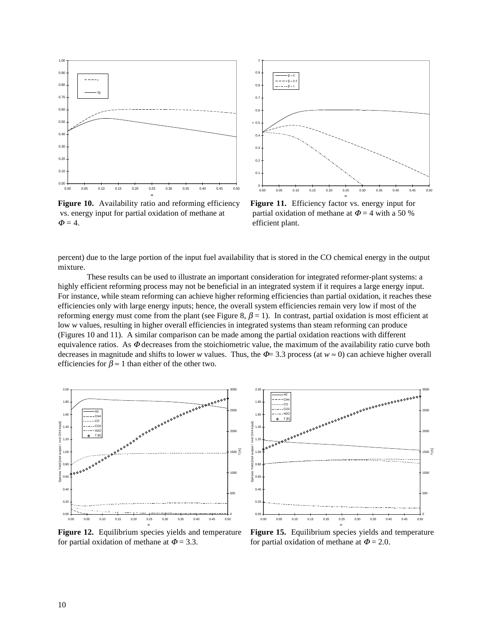

Figure 10. Availability ratio and reforming efficiency vs. energy input for partial oxidation of methane at  $\Phi = 4$ .



Figure 11. Efficiency factor vs. energy input for partial oxidation of methane at  $\Phi = 4$  with a 50 % efficient plant.

percent) due to the large portion of the input fuel availability that is stored in the CO chemical energy in the output mixture.

These results can be used to illustrate an important consideration for integrated reformer-plant systems: a highly efficient reforming process may not be beneficial in an integrated system if it requires a large energy input. For instance, while steam reforming can achieve higher reforming efficiencies than partial oxidation, it reaches these efficiencies only with large energy inputs; hence, the overall system efficiencies remain very low if most of the reforming energy must come from the plant (see Figure 8,  $\beta = 1$ ). In contrast, partial oxidation is most efficient at low *w* values, resulting in higher overall efficiencies in integrated systems than steam reforming can produce (Figures 10 and 11). A similar comparison can be made among the partial oxidation reactions with different equivalence ratios. As  $\Phi$  decreases from the stoichiometric value, the maximum of the availability ratio curve both decreases in magnitude and shifts to lower *w* values. Thus, the  $\Phi$ = 3.3 process (at  $w \approx 0$ ) can achieve higher overall efficiencies for  $\beta \approx 1$  than either of the other two.



*w*  **Figure 12.** Equilibrium species yields and temperature for partial oxidation of methane at  $\Phi = 3.3$ .



**Figure 15.** Equilibrium species yields and temperature for partial oxidation of methane at  $\Phi = 2.0$ .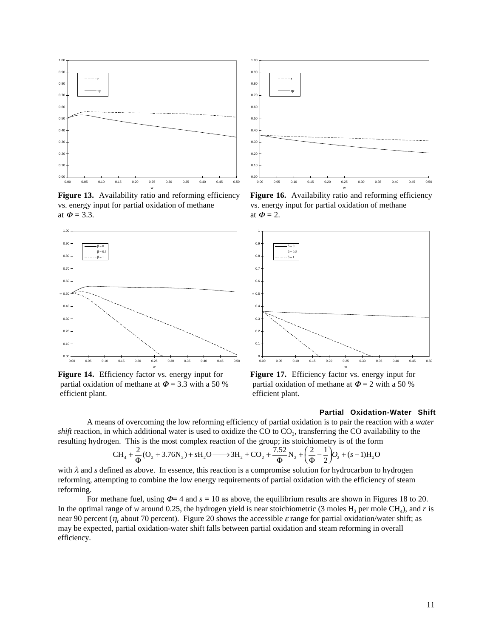

Figure 13. Availability ratio and reforming efficiency vs. energy input for partial oxidation of methane at  $\Phi = 3.3$ .



**Figure 14.** Efficiency factor vs. energy input for partial oxidation of methane at  $\Phi$  = 3.3 with a 50 % efficient plant.



Figure 16. Availability ratio and reforming efficiency vs. energy input for partial oxidation of methane at  $\Phi = 2$ .

w



**Figure 17.** Efficiency factor vs. energy input for partial oxidation of methane at  $\Phi = 2$  with a 50 % efficient plant.

# **Partial Oxidation-Water Shift**

A means of overcoming the low reforming efficiency of partial oxidation is to pair the reaction with a *water shift* reaction, in which additional water is used to oxidize the CO to CO<sub>2</sub>, transferring the CO availability to the resulting hydrogen. This is the most complex reaction of the group; its stoichiometry is of the form

$$
CH_4 + \frac{2}{\Phi}(O_2 + 3.76N_2) + sH_2O \longrightarrow 3H_2 + CO_2 + \frac{7.52}{\Phi}N_2 + \left(\frac{2}{\Phi} - \frac{1}{2}\right)O_2 + (s-1)H_2O
$$

with  $\lambda$  and *s* defined as above. In essence, this reaction is a compromise solution for hydrocarbon to hydrogen reforming, attempting to combine the low energy requirements of partial oxidation with the efficiency of steam reforming.

For methane fuel, using  $\Phi = 4$  and  $s = 10$  as above, the equilibrium results are shown in Figures 18 to 20. In the optimal range of *w* around 0.25, the hydrogen yield is near stoichiometric (3 moles  $H_2$  per mole CH<sub>4</sub>), and *r* is near 90 percent ( $\eta_r$  about 70 percent). Figure 20 shows the accessible  $\varepsilon$  range for partial oxidation/water shift; as may be expected, partial oxidation-water shift falls between partial oxidation and steam reforming in overall efficiency.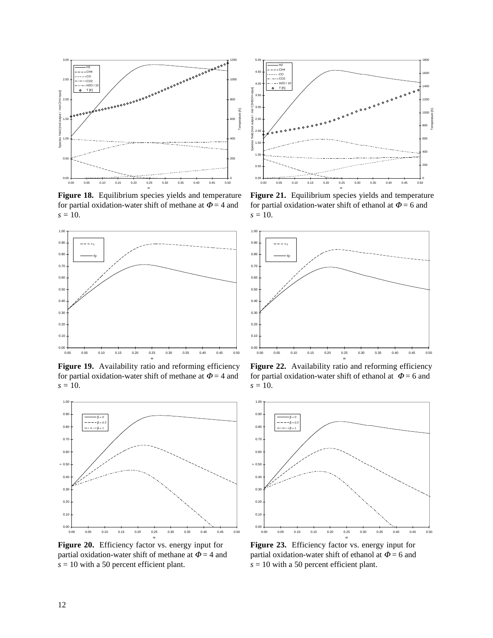

**Figure 18.** Equilibrium species yields and temperature for partial oxidation-water shift of methane at  $\Phi = 4$  and  $s = 10$ .



Figure 19. Availability ratio and reforming efficiency for partial oxidation-water shift of methane at  $\Phi = 4$  and *s* = 10.



Figure 20. Efficiency factor vs. energy input for partial oxidation-water shift of methane at  $\Phi = 4$  and *s* = 10 with a 50 percent efficient plant.



Figure 21. Equilibrium species yields and temperature for partial oxidation-water shift of ethanol at  $\Phi = 6$  and  $s = 10$ .



Figure 22. Availability ratio and reforming efficiency for partial oxidation-water shift of ethanol at  $\Phi = 6$  and *s* = 10.



Figure 23. Efficiency factor vs. energy input for partial oxidation-water shift of ethanol at  $\Phi = 6$  and *s* = 10 with a 50 percent efficient plant.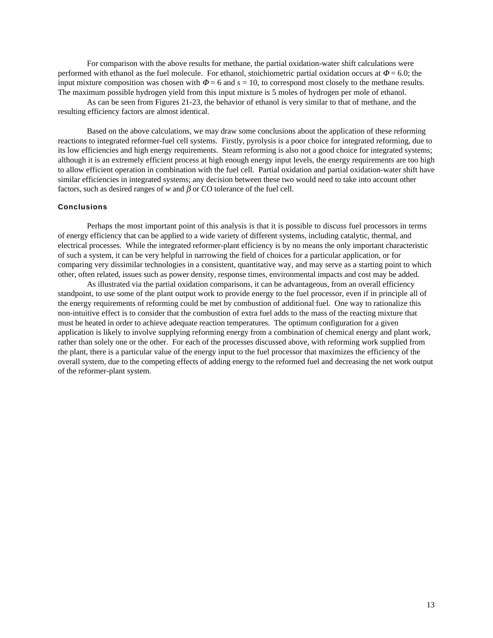For comparison with the above results for methane, the partial oxidation-water shift calculations were performed with ethanol as the fuel molecule. For ethanol, stoichiometric partial oxidation occurs at  $\Phi$  = 6.0; the input mixture composition was chosen with  $\Phi = 6$  and  $s = 10$ , to correspond most closely to the methane results. The maximum possible hydrogen yield from this input mixture is 5 moles of hydrogen per mole of ethanol.

As can be seen from Figures 21-23, the behavior of ethanol is very similar to that of methane, and the resulting efficiency factors are almost identical.

Based on the above calculations, we may draw some conclusions about the application of these reforming reactions to integrated reformer-fuel cell systems. Firstly, pyrolysis is a poor choice for integrated reforming, due to its low efficiencies and high energy requirements. Steam reforming is also not a good choice for integrated systems; although it is an extremely efficient process at high enough energy input levels, the energy requirements are too high to allow efficient operation in combination with the fuel cell. Partial oxidation and partial oxidation-water shift have similar efficiencies in integrated systems; any decision between these two would need to take into account other factors, such as desired ranges of *w* and β or CO tolerance of the fuel cell.

### **Conclusions**

Perhaps the most important point of this analysis is that it is possible to discuss fuel processors in terms of energy efficiency that can be applied to a wide variety of different systems, including catalytic, thermal, and electrical processes. While the integrated reformer-plant efficiency is by no means the only important characteristic of such a system, it can be very helpful in narrowing the field of choices for a particular application, or for comparing very dissimilar technologies in a consistent, quantitative way, and may serve as a starting point to which other, often related, issues such as power density, response times, environmental impacts and cost may be added.

As illustrated via the partial oxidation comparisons, it can be advantageous, from an overall efficiency standpoint, to use some of the plant output work to provide energy to the fuel processor, even if in principle all of the energy requirements of reforming could be met by combustion of additional fuel. One way to rationalize this non-intuitive effect is to consider that the combustion of extra fuel adds to the mass of the reacting mixture that must be heated in order to achieve adequate reaction temperatures. The optimum configuration for a given application is likely to involve supplying reforming energy from a combination of chemical energy and plant work, rather than solely one or the other. For each of the processes discussed above, with reforming work supplied from the plant, there is a particular value of the energy input to the fuel processor that maximizes the efficiency of the overall system, due to the competing effects of adding energy to the reformed fuel and decreasing the net work output of the reformer-plant system.